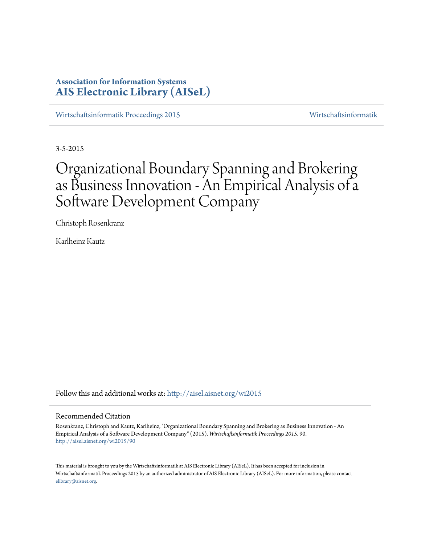# **Association for Information Systems [AIS Electronic Library \(AISeL\)](http://aisel.aisnet.org?utm_source=aisel.aisnet.org%2Fwi2015%2F90&utm_medium=PDF&utm_campaign=PDFCoverPages)**

[Wirtschaftsinformatik Proceedings 2015](http://aisel.aisnet.org/wi2015?utm_source=aisel.aisnet.org%2Fwi2015%2F90&utm_medium=PDF&utm_campaign=PDFCoverPages) [Wirtschaftsinformatik](http://aisel.aisnet.org/wi?utm_source=aisel.aisnet.org%2Fwi2015%2F90&utm_medium=PDF&utm_campaign=PDFCoverPages)

3-5-2015

# Organizational Boundary Spanning and Brokering as Business Innovation - An Empirical Analysis of a Software Development Company

Christoph Rosenkranz

Karlheinz Kautz

Follow this and additional works at: [http://aisel.aisnet.org/wi2015](http://aisel.aisnet.org/wi2015?utm_source=aisel.aisnet.org%2Fwi2015%2F90&utm_medium=PDF&utm_campaign=PDFCoverPages)

### Recommended Citation

Rosenkranz, Christoph and Kautz, Karlheinz, "Organizational Boundary Spanning and Brokering as Business Innovation - An Empirical Analysis of a Software Development Company" (2015). *Wirtschaftsinformatik Proceedings 2015*. 90. [http://aisel.aisnet.org/wi2015/90](http://aisel.aisnet.org/wi2015/90?utm_source=aisel.aisnet.org%2Fwi2015%2F90&utm_medium=PDF&utm_campaign=PDFCoverPages)

This material is brought to you by the Wirtschaftsinformatik at AIS Electronic Library (AISeL). It has been accepted for inclusion in Wirtschaftsinformatik Proceedings 2015 by an authorized administrator of AIS Electronic Library (AISeL). For more information, please contact [elibrary@aisnet.org.](mailto:elibrary@aisnet.org%3E)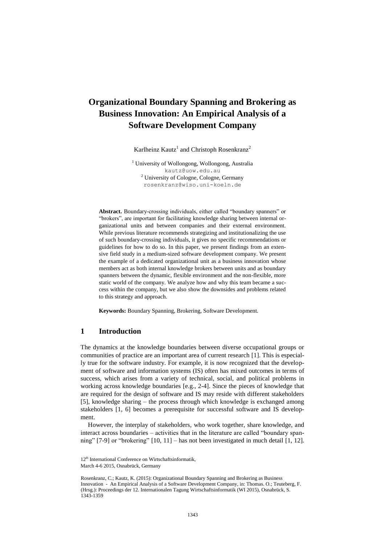# **Organizational Boundary Spanning and Brokering as Business Innovation: An Empirical Analysis of a Software Development Company**

Karlheinz Kautz<sup>1</sup> and Christoph Rosenkranz<sup>2</sup>

<sup>1</sup> University of Wollongong, Wollongong, Australia kautz@uow.edu.au <sup>2</sup> University of Cologne, Cologne, Germany rosenkranz@wiso.uni-koeln.de

**Abstract.** Boundary-crossing individuals, either called "boundary spanners" or "brokers", are important for facilitating knowledge sharing between internal organizational units and between companies and their external environment. While previous literature recommends strategizing and institutionalizing the use of such boundary-crossing individuals, it gives no specific recommendations or guidelines for how to do so. In this paper, we present findings from an extensive field study in a medium-sized software development company. We present the example of a dedicated organizational unit as a business innovation whose members act as both internal knowledge brokers between units and as boundary spanners between the dynamic, flexible environment and the non-flexible, more static world of the company. We analyze how and why this team became a success within the company, but we also show the downsides and problems related to this strategy and approach.

**Keywords:** Boundary Spanning, Brokering, Software Development.

# **1 Introduction**

The dynamics at the knowledge boundaries between diverse occupational groups or communities of practice are an important area of current research [1]. This is especially true for the software industry. For example, it is now recognized that the development of software and information systems (IS) often has mixed outcomes in terms of success, which arises from a variety of technical, social, and political problems in working across knowledge boundaries [e.g., 2-4]. Since the pieces of knowledge that are required for the design of software and IS may reside with different stakeholders [5], knowledge sharing – the process through which knowledge is exchanged among stakeholders [1, 6] becomes a prerequisite for successful software and IS development.

However, the interplay of stakeholders, who work together, share knowledge, and interact across boundaries – activities that in the literature are called "boundary spanning" [7-9] or "brokering" [10, 11] – has not been investigated in much detail [1, 12].

<sup>12&</sup>lt;sup>th</sup> International Conference on Wirtschaftsinformatik,

March 4-6 2015, Osnabrück, Germany

Rosenkranz, C.; Kautz, K. (2015): Organizational Boundary Spanning and Brokering as Business Innovation - An Empirical Analysis of a Software Development Company, in: Thomas. O.; Teuteberg, F. (Hrsg.): Proceedings der 12. Internationalen Tagung Wirtschaftsinformatik (WI 2015), Osnabrück, S. 1343-1359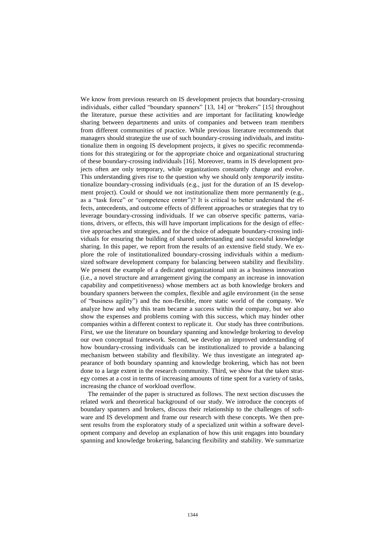We know from previous research on IS development projects that boundary-crossing individuals, either called "boundary spanners" [13, 14] or "brokers" [15] throughout the literature, pursue these activities and are important for facilitating knowledge sharing between departments and units of companies and between team members from different communities of practice. While previous literature recommends that managers should strategize the use of such boundary-crossing individuals, and institutionalize them in ongoing IS development projects, it gives no specific recommendations for this strategizing or for the appropriate choice and organizational structuring of these boundary-crossing individuals [16]. Moreover, teams in IS development projects often are only temporary, while organizations constantly change and evolve. This understanding gives rise to the question why we should only *temporarily* institutionalize boundary-crossing individuals (e.g., just for the duration of an IS development project). Could or should we not institutionalize them more permanently (e.g., as a "task force" or "competence center")? It is critical to better understand the effects, antecedents, and outcome effects of different approaches or strategies that try to leverage boundary-crossing individuals. If we can observe specific patterns, variations, drivers, or effects, this will have important implications for the design of effective approaches and strategies, and for the choice of adequate boundary-crossing individuals for ensuring the building of shared understanding and successful knowledge sharing. In this paper, we report from the results of an extensive field study. We explore the role of institutionalized boundary-crossing individuals within a mediumsized software development company for balancing between stability and flexibility. We present the example of a dedicated organizational unit as a business innovation (i.e., a novel structure and arrangement giving the company an increase in innovation capability and competitiveness) whose members act as both knowledge brokers and boundary spanners between the complex, flexible and agile environment (in the sense of "business agility") and the non-flexible, more static world of the company. We analyze how and why this team became a success within the company, but we also show the expenses and problems coming with this success, which may hinder other companies within a different context to replicate it. Our study has three contributions. First, we use the literature on boundary spanning and knowledge brokering to develop our own conceptual framework. Second, we develop an improved understanding of how boundary-crossing individuals can be institutionalized to provide a balancing mechanism between stability and flexibility. We thus investigate an integrated appearance of both boundary spanning and knowledge brokering, which has not been done to a large extent in the research community. Third, we show that the taken strategy comes at a cost in terms of increasing amounts of time spent for a variety of tasks, increasing the chance of workload overflow.

The remainder of the paper is structured as follows. The next section discusses the related work and theoretical background of our study. We introduce the concepts of boundary spanners and brokers, discuss their relationship to the challenges of software and IS development and frame our research with these concepts. We then present results from the exploratory study of a specialized unit within a software development company and develop an explanation of how this unit engages into boundary spanning and knowledge brokering, balancing flexibility and stability. We summarize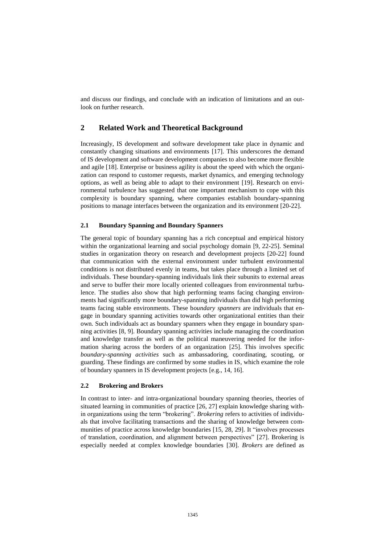and discuss our findings, and conclude with an indication of limitations and an outlook on further research.

# **2 Related Work and Theoretical Background**

Increasingly, IS development and software development take place in dynamic and constantly changing situations and environments [17]. This underscores the demand of IS development and software development companies to also become more flexible and agile [18]. Enterprise or business agility is about the speed with which the organization can respond to customer requests, market dynamics, and emerging technology options, as well as being able to adapt to their environment [19]. Research on environmental turbulence has suggested that one important mechanism to cope with this complexity is boundary spanning, where companies establish boundary-spanning positions to manage interfaces between the organization and its environment [20-22].

### **2.1 Boundary Spanning and Boundary Spanners**

The general topic of boundary spanning has a rich conceptual and empirical history within the organizational learning and social psychology domain [9, 22-25]. Seminal studies in organization theory on research and development projects [20-22] found that communication with the external environment under turbulent environmental conditions is not distributed evenly in teams, but takes place through a limited set of individuals. These boundary-spanning individuals link their subunits to external areas and serve to buffer their more locally oriented colleagues from environmental turbulence. The studies also show that high performing teams facing changing environments had significantly more boundary-spanning individuals than did high performing teams facing stable environments. These b*oundary spanners* are individuals that engage in boundary spanning activities towards other organizational entities than their own. Such individuals act as boundary spanners when they engage in boundary spanning activities [8, 9]. Boundary spanning activities include managing the coordination and knowledge transfer as well as the political maneuvering needed for the information sharing across the borders of an organization [25]. This involves specific *boundary-spanning activities* such as ambassadoring, coordinating, scouting, or guarding. These findings are confirmed by some studies in IS, which examine the role of boundary spanners in IS development projects [e.g., 14, 16].

#### **2.2 Brokering and Brokers**

In contrast to inter- and intra-organizational boundary spanning theories, theories of situated learning in communities of practice [26, 27] explain knowledge sharing within organizations using the term "brokering". *Brokering* refers to activities of individuals that involve facilitating transactions and the sharing of knowledge between communities of practice across knowledge boundaries [15, 28, 29]. It "involves processes of translation, coordination, and alignment between perspectives" [27]. Brokering is especially needed at complex knowledge boundaries [30]. *Brokers* are defined as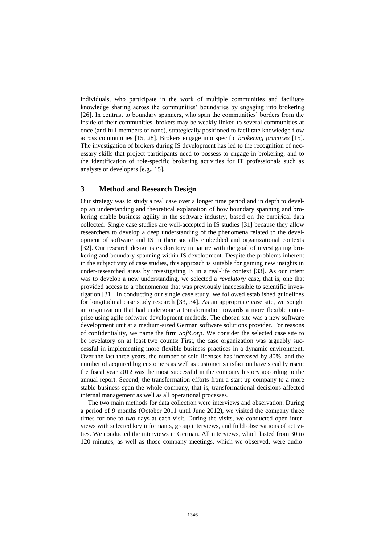individuals, who participate in the work of multiple communities and facilitate knowledge sharing across the communities' boundaries by engaging into brokering [26]. In contrast to boundary spanners, who span the communities' borders from the inside of their communities, brokers may be weakly linked to several communities at once (and full members of none), strategically positioned to facilitate knowledge flow across communities [15, 28]. Brokers engage into specific *brokering practices* [15]. The investigation of brokers during IS development has led to the recognition of necessary skills that project participants need to possess to engage in brokering, and to the identification of role-specific brokering activities for IT professionals such as analysts or developers [e.g., 15].

# **3 Method and Research Design**

Our strategy was to study a real case over a longer time period and in depth to develop an understanding and theoretical explanation of how boundary spanning and brokering enable business agility in the software industry, based on the empirical data collected. Single case studies are well-accepted in IS studies [31] because they allow researchers to develop a deep understanding of the phenomena related to the development of software and IS in their socially embedded and organizational contexts [32]. Our research design is exploratory in nature with the goal of investigating brokering and boundary spanning within IS development. Despite the problems inherent in the subjectivity of case studies, this approach is suitable for gaining new insights in under-researched areas by investigating IS in a real-life context [33]. As our intent was to develop a new understanding, we selected a *revelatory* case, that is, one that provided access to a phenomenon that was previously inaccessible to scientific investigation [31]. In conducting our single case study, we followed established guidelines for longitudinal case study research [33, 34]. As an appropriate case site, we sought an organization that had undergone a transformation towards a more flexible enterprise using agile software development methods. The chosen site was a new software development unit at a medium-sized German software solutions provider. For reasons of confidentiality, we name the firm *SoftCorp*. We consider the selected case site to be revelatory on at least two counts: First, the case organization was arguably successful in implementing more flexible business practices in a dynamic environment. Over the last three years, the number of sold licenses has increased by 80%, and the number of acquired big customers as well as customer satisfaction have steadily risen; the fiscal year 2012 was the most successful in the company history according to the annual report. Second, the transformation efforts from a start-up company to a more stable business span the whole company, that is, transformational decisions affected internal management as well as all operational processes.

The two main methods for data collection were interviews and observation. During a period of 9 months (October 2011 until June 2012), we visited the company three times for one to two days at each visit. During the visits, we conducted open interviews with selected key informants, group interviews, and field observations of activities. We conducted the interviews in German. All interviews, which lasted from 30 to 120 minutes, as well as those company meetings, which we observed, were audio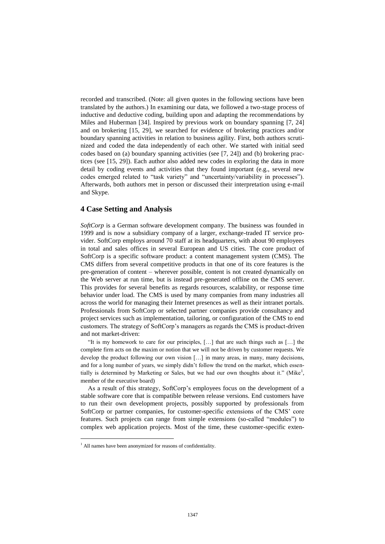recorded and transcribed. (Note: all given quotes in the following sections have been translated by the authors.) In examining our data, we followed a two-stage process of inductive and deductive coding, building upon and adapting the recommendations by Miles and Huberman [34]. Inspired by previous work on boundary spanning [7, 24] and on brokering [15, 29], we searched for evidence of brokering practices and/or boundary spanning activities in relation to business agility. First, both authors scrutinized and coded the data independently of each other. We started with initial seed codes based on (a) boundary spanning activities (see [7, 24]) and (b) brokering practices (see [15, 29]). Each author also added new codes in exploring the data in more detail by coding events and activities that they found important (e.g., several new codes emerged related to "task variety" and "uncertainty/variability in processes"). Afterwards, both authors met in person or discussed their interpretation using e-mail and Skype.

# **4 Case Setting and Analysis**

*SoftCorp* is a German software development company. The business was founded in 1999 and is now a subsidiary company of a larger, exchange-traded IT service provider. SoftCorp employs around 70 staff at its headquarters, with about 90 employees in total and sales offices in several European and US cities. The core product of SoftCorp is a specific software product: a content management system (CMS). The CMS differs from several competitive products in that one of its core features is the pre-generation of content – wherever possible, content is not created dynamically on the Web server at run time, but is instead pre-generated offline on the CMS server. This provides for several benefits as regards resources, scalability, or response time behavior under load. The CMS is used by many companies from many industries all across the world for managing their Internet presences as well as their intranet portals. Professionals from SoftCorp or selected partner companies provide consultancy and project services such as implementation, tailoring, or configuration of the CMS to end customers. The strategy of SoftCorp's managers as regards the CMS is product-driven and not market-driven:

"It is my homework to care for our principles, […] that are such things such as […] the complete firm acts on the maxim or notion that we will not be driven by customer requests. We develop the product following our own vision […] in many areas, in many, many decisions, and for a long number of years, we simply didn't follow the trend on the market, which essentially is determined by Marketing or Sales, but we had our own thoughts about it." (Mike<sup>1</sup>, member of the executive board)

As a result of this strategy, SoftCorp's employees focus on the development of a stable software core that is compatible between release versions. End customers have to run their own development projects, possibly supported by professionals from SoftCorp or partner companies, for customer-specific extensions of the CMS' core features. Such projects can range from simple extensions (so-called "modules") to complex web application projects. Most of the time, these customer-specific exten-

 $\overline{a}$ 

<sup>&</sup>lt;sup>1</sup> All names have been anonymized for reasons of confidentiality.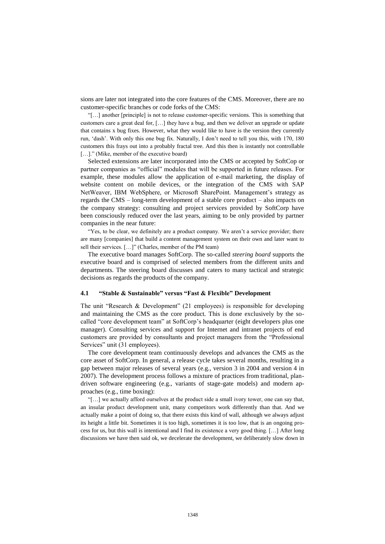sions are later not integrated into the core features of the CMS. Moreover, there are no customer-specific branches or code forks of the CMS:

"[…] another [principle] is not to release customer-specific versions. This is something that customers care a great deal for, […] they have a bug, and then we deliver an upgrade or update that contains x bug fixes. However, what they would like to have is the version they currently run, 'dash'. With only this one bug fix. Naturally, I don't need to tell you this, with 170, 180 customers this frays out into a probably fractal tree. And this then is instantly not controllable [...]." (Mike, member of the executive board)

Selected extensions are later incorporated into the CMS or accepted by SoftCop or partner companies as "official" modules that will be supported in future releases. For example, these modules allow the application of e-mail marketing, the display of website content on mobile devices, or the integration of the CMS with SAP NetWeaver, IBM WebSphere, or Microsoft SharePoint. Management's strategy as regards the CMS – long-term development of a stable core product – also impacts on the company strategy: consulting and project services provided by SoftCorp have been consciously reduced over the last years, aiming to be only provided by partner companies in the near future:

"Yes, to be clear, we definitely are a product company. We aren't a service provider; there are many [companies] that build a content management system on their own and later want to sell their services. […]" (Charles, member of the PM team)

The executive board manages SoftCorp. The so-called *steering board* supports the executive board and is comprised of selected members from the different units and departments. The steering board discusses and caters to many tactical and strategic decisions as regards the products of the company.

#### **4.1 "Stable & Sustainable" versus "Fast & Flexible" Development**

The unit "Research & Development" (21 employees) is responsible for developing and maintaining the CMS as the core product. This is done exclusively by the socalled "core development team" at SoftCorp's headquarter (eight developers plus one manager). Consulting services and support for Internet and intranet projects of end customers are provided by consultants and project managers from the "Professional Services" unit (31 employees).

The core development team continuously develops and advances the CMS as the core asset of SoftCorp. In general, a release cycle takes several months, resulting in a gap between major releases of several years (e.g., version 3 in 2004 and version 4 in 2007). The development process follows a mixture of practices from traditional, plandriven software engineering (e.g., variants of stage-gate models) and modern approaches (e.g., time boxing):

"[…] we actually afford ourselves at the product side a small ivory tower, one can say that, an insular product development unit, many competitors work differently than that. And we actually make a point of doing so, that there exists this kind of wall, although we always adjust its height a little bit. Sometimes it is too high, sometimes it is too low, that is an ongoing process for us, but this wall is intentional and I find its existence a very good thing. […] After long discussions we have then said ok, we decelerate the development, we deliberately slow down in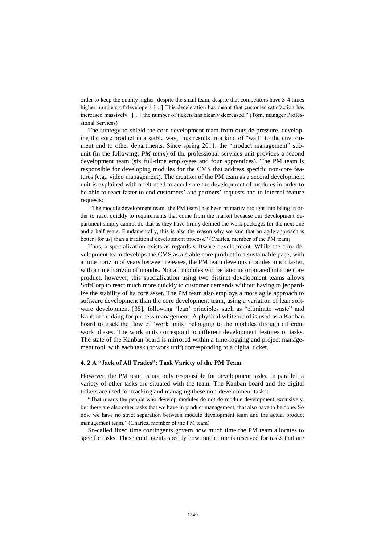order to keep the quality higher, despite the small team, despite that competitors have 3-4 times higher numbers of developers [...] This deceleration has meant that customer satisfaction has increased massively, […] the number of tickets has clearly decreased." (Tom, manager Professional Services)

The strategy to shield the core development team from outside pressure, developing the core product in a stable way, thus results in a kind of "wall" to the environment and to other departments. Since spring 2011, the "product management" subunit (in the following: *PM team*) of the professional services unit provides a second development team (six full-time employees and four apprentices). The PM team is responsible for developing modules for the CMS that address specific non-core features (e.g., video management). The creation of the PM team as a second development unit is explained with a felt need to accelerate the development of modules in order to be able to react faster to end customers' and partners' requests and to internal feature requests:

"The module development team [the PM team] has been primarily brought into being in order to react quickly to requirements that come from the market because our development department simply cannot do that as they have firmly defined the work packages for the next one and a half years. Fundamentally, this is also the reason why we said that an agile approach is better [for us] than a traditional development process." (Charles, member of the PM team)

Thus, a specialization exists as regards software development. While the core development team develops the CMS as a stable core product in a sustainable pace, with a time horizon of years between releases, the PM team develops modules much faster, with a time horizon of months. Not all modules will be later incorporated into the core product; however, this specialization using two distinct development teams allows SoftCorp to react much more quickly to customer demands without having to jeopardize the stability of its core asset. The PM team also employs a more agile approach to software development than the core development team, using a variation of lean software development [35], following 'lean' principles such as "eliminate waste" and Kanban thinking for process management. A physical whiteboard is used as a Kanban board to track the flow of 'work units' belonging to the modules through different work phases. The work units correspond to different development features or tasks. The state of the Kanban board is mirrored within a time-logging and project management tool, with each task (or work unit) corresponding to a digital ticket.

#### **4. 2 A "Jack of All Trades": Task Variety of the PM Team**

However, the PM team is not only responsible for development tasks. In parallel, a variety of other tasks are situated with the team. The Kanban board and the digital tickets are used for tracking and managing these non-development tasks:

"That means the people who develop modules do not do module development exclusively, but there are also other tasks that we have in product management, that also have to be done. So now we have no strict separation between module development team and the actual product management team." (Charles, member of the PM team)

So-called fixed time contingents govern how much time the PM team allocates to specific tasks. These contingents specify how much time is reserved for tasks that are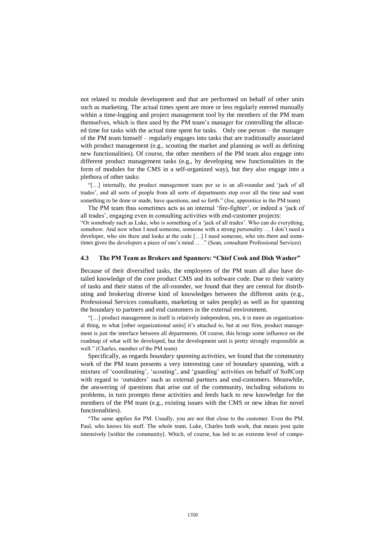not related to module development and that are performed on behalf of other units such as marketing. The actual times spent are more or less regularly entered manually within a time-logging and project management tool by the members of the PM team themselves, which is then used by the PM team's manager for controlling the allocated time for tasks with the actual time spent for tasks. Only one person – the manager of the PM team himself – regularly engages into tasks that are traditionally associated with product management (e.g., scouting the market and planning as well as defining new functionalities). Of course, the other members of the PM team also engage into different product management tasks (e.g., by developing new functionalities in the form of modules for the CMS in a self-organized way), but they also engage into a plethora of other tasks:

"[…] internally, the product management team per se is an all-rounder and 'jack of all trades', and all sorts of people from all sorts of departments stop over all the time and want something to be done or made, have questions, and so forth." (Joe, apprentice in the PM team)

The PM team thus sometimes acts as an internal 'fire-fighter', or indeed a 'jack of all trades', engaging even in consulting activities with end-customer projects: "Or somebody such as Luke, who is something of a 'jack of all trades'. Who can do everything, somehow. And now when I need someone, someone with a strong personality … I don't need a developer, who sits there and looks at the code […] I need someone, who sits there and sometimes gives the developers a piece of one's mind … ." (Sean, consultant Professional Services)

#### **4.3 The PM Team as Brokers and Spanners: "Chief Cook and Dish Washer"**

Because of their diversified tasks, the employees of the PM team all also have detailed knowledge of the core product CMS and its software code. Due to their variety of tasks and their status of the all-rounder, we found that they are central for distributing and brokering diverse kind of knowledges between the different units (e.g., Professional Services consultants, marketing or sales people) as well as for spanning the boundary to partners and end customers in the external environment.

"[…] product management in itself is relatively independent, yes, it is more an organizational thing, to what [other organizational units] it's attached to, but at our firm, product management is just the interface between all departments. Of course, this brings some influence on the roadmap of what will be developed, but the development unit is pretty strongly responsible as well." (Charles, member of the PM team)

Specifically, as regards *boundary spanning activities*, we found that the community work of the PM team presents a very interesting case of boundary spanning, with a mixture of 'coordinating', 'scouting', and 'guarding' activities on behalf of SoftCorp with regard to 'outsiders' such as external partners and end-customers. Meanwhile, the answering of questions that arise out of the community, including solutions to problems, in turn prompts these activities and feeds back to new knowledge for the members of the PM team (e.g., existing issues with the CMS or new ideas for novel functionalities).

"The same applies for PM. Usually, you are not that close to the customer. Even the PM. Paul, who knows his stuff. The whole team. Luke, Charles both work, that means post quite intensively [within the community]. Which, of course, has led to an extreme level of compe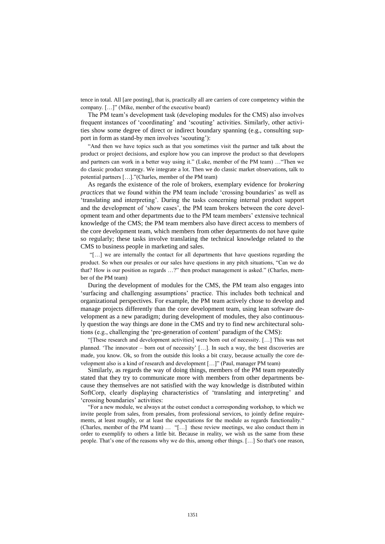tence in total. All [are posting], that is, practically all are carriers of core competency within the company. […]" (Mike, member of the executive board)

The PM team's development task (developing modules for the CMS) also involves frequent instances of 'coordinating' and 'scouting' activities. Similarly, other activities show some degree of direct or indirect boundary spanning (e.g., consulting support in form as stand-by men involves 'scouting'):

"And then we have topics such as that you sometimes visit the partner and talk about the product or project decisions, and explore how you can improve the product so that developers and partners can work in a better way using it." (Luke, member of the PM team) …"Then we do classic product strategy. We integrate a lot. Then we do classic market observations, talk to potential partners […]."(Charles, member of the PM team)

As regards the existence of the role of brokers, exemplary evidence for *brokering practices* that we found within the PM team include 'crossing boundaries' as well as 'translating and interpreting'. During the tasks concerning internal product support and the development of 'show cases', the PM team brokers between the core development team and other departments due to the PM team members' extensive technical knowledge of the CMS; the PM team members also have direct access to members of the core development team, which members from other departments do not have quite so regularly; these tasks involve translating the technical knowledge related to the CMS to business people in marketing and sales.

"[…] we are internally the contact for all departments that have questions regarding the product. So when our presales or our sales have questions in any pitch situations, "Can we do that? How is our position as regards …?" then product management is asked." (Charles, member of the PM team)

During the development of modules for the CMS, the PM team also engages into 'surfacing and challenging assumptions' practice. This includes both technical and organizational perspectives. For example, the PM team actively chose to develop and manage projects differently than the core development team, using lean software development as a new paradigm; during development of modules, they also continuously question the way things are done in the CMS and try to find new architectural solutions (e.g., challenging the 'pre-generation of content' paradigm of the CMS):

"[These research and development activities] were born out of necessity. […] This was not planned. 'The innovator – born out of necessity'  $[\ldots]$ . In such a way, the best discoveries are made, you know. Ok, so from the outside this looks a bit crazy, because actually the core development also is a kind of research and development […]" (Paul, manager PM team)

Similarly, as regards the way of doing things, members of the PM team repeatedly stated that they try to communicate more with members from other departments because they themselves are not satisfied with the way knowledge is distributed within SoftCorp, clearly displaying characteristics of 'translating and interpreting' and 'crossing boundaries' activities:

"For a new module, we always at the outset conduct a corresponding workshop, to which we invite people from sales, from presales, from professional services, to jointly define requirements, at least roughly, or at least the expectations for the module as regards functionality." (Charles, member of the PM team) … "[…] these review meetings, we also conduct them in order to exemplify to others a little bit. Because in reality, we wish us the same from these people. That's one of the reasons why we do this, among other things. […] So that's one reason,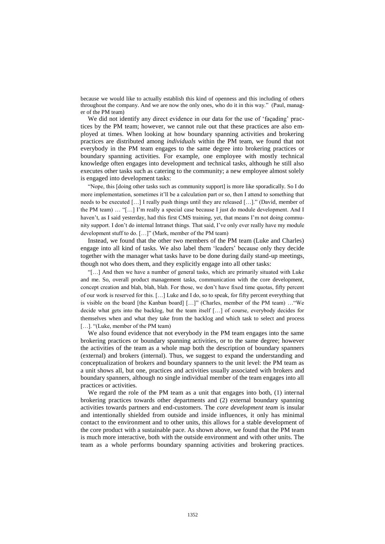because we would like to actually establish this kind of openness and this including of others throughout the company. And we are now the only ones, who do it in this way." (Paul, manager of the PM team)

We did not identify any direct evidence in our data for the use of 'façading' practices by the PM team; however, we cannot rule out that these practices are also employed at times. When looking at how boundary spanning activities and brokering practices are distributed among *individuals* within the PM team, we found that not everybody in the PM team engages to the same degree into brokering practices or boundary spanning activities. For example, one employee with mostly technical knowledge often engages into development and technical tasks, although he still also executes other tasks such as catering to the community; a new employee almost solely is engaged into development tasks:

"Nope, this [doing other tasks such as community support] is more like sporadically. So I do more implementation, sometimes it'll be a calculation part or so, then I attend to something that needs to be executed […] I really push things until they are released […]." (David, member of the PM team) … "[…] I'm really a special case because I just do module development. And I haven't, as I said yesterday, had this first CMS training, yet, that means I'm not doing community support. I don't do internal Intranet things. That said, I've only ever really have my module development stuff to do. […]" (Mark, member of the PM team)

Instead, we found that the other two members of the PM team (Luke and Charles) engage into all kind of tasks. We also label them 'leaders' because only they decide together with the manager what tasks have to be done during daily stand-up meetings, though not who does them, and they explicitly engage into all other tasks:

"[…] And then we have a number of general tasks, which are primarily situated with Luke and me. So, overall product management tasks, communication with the core development, concept creation and blah, blah, blah. For those, we don't have fixed time quotas, fifty percent of our work is reserved for this. […] Luke and I do, so to speak, for fifty percent everything that is visible on the board [the Kanban board] […]" (Charles, member of the PM team) …"We decide what gets into the backlog, but the team itself […] of course, everybody decides for themselves when and what they take from the backlog and which task to select and process [...]. "(Luke, member of the PM team)

We also found evidence that not everybody in the PM team engages into the same brokering practices or boundary spanning activities, or to the same degree; however the activities of the team as a whole map both the description of boundary spanners (external) and brokers (internal). Thus, we suggest to expand the understanding and conceptualization of brokers and boundary spanners to the unit level: the PM team as a unit shows all, but one, practices and activities usually associated with brokers and boundary spanners, although no single individual member of the team engages into all practices or activities.

We regard the role of the PM team as a unit that engages into both, (1) internal brokering practices towards other departments and (2) external boundary spanning activities towards partners and end-customers. The *core development team* is insular and intentionally shielded from outside and inside influences, it only has minimal contact to the environment and to other units, this allows for a stable development of the core product with a sustainable pace. As shown above, we found that the PM team is much more interactive, both with the outside environment and with other units. The team as a whole performs boundary spanning activities and brokering practices.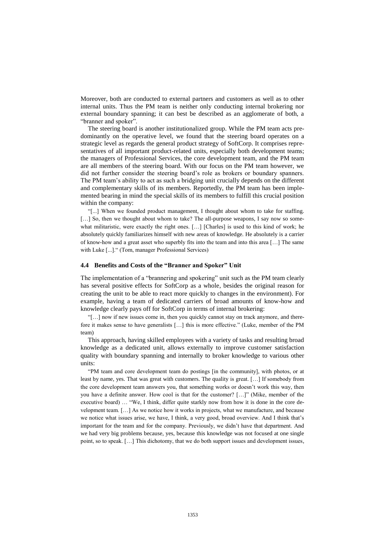Moreover, both are conducted to external partners and customers as well as to other internal units. Thus the PM team is neither only conducting internal brokering nor external boundary spanning; it can best be described as an agglomerate of both, a "branner and spoker".

The steering board is another institutionalized group. While the PM team acts predominantly on the operative level, we found that the steering board operates on a strategic level as regards the general product strategy of SoftCorp. It comprises representatives of all important product-related units, especially both development teams; the managers of Professional Services, the core development team, and the PM team are all members of the steering board. With our focus on the PM team however, we did not further consider the steering board's role as brokers or boundary spanners. The PM team's ability to act as such a bridging unit crucially depends on the different and complementary skills of its members. Reportedly, the PM team has been implemented bearing in mind the special skills of its members to fulfill this crucial position within the company:

"[...] When we founded product management, I thought about whom to take for staffing. [...] So, then we thought about whom to take? The all-purpose weapons, I say now so somewhat militaristic, were exactly the right ones. [...] [Charles] is used to this kind of work; he absolutely quickly familiarizes himself with new areas of knowledge. He absolutely is a carrier of know-how and a great asset who superbly fits into the team and into this area […] The same with Luke [...]." (Tom, manager Professional Services)

#### **4.4 Benefits and Costs of the "Branner and Spoker" Unit**

The implementation of a "brannering and spokering" unit such as the PM team clearly has several positive effects for SoftCorp as a whole, besides the original reason for creating the unit to be able to react more quickly to changes in the environment). For example, having a team of dedicated carriers of broad amounts of know-how and knowledge clearly pays off for SoftCorp in terms of internal brokering:

"[…] now if new issues come in, then you quickly cannot stay on track anymore, and therefore it makes sense to have generalists […] this is more effective." (Luke, member of the PM team)

This approach, having skilled employees with a variety of tasks and resulting broad knowledge as a dedicated unit, allows externally to improve customer satisfaction quality with boundary spanning and internally to broker knowledge to various other units:

"PM team and core development team do postings [in the community], with photos, or at least by name, yes. That was great with customers. The quality is great. […] If somebody from the core development team answers you, that something works or doesn't work this way, then you have a definite answer. How cool is that for the customer? […]" (Mike, member of the executive board) … "We, I think, differ quite starkly now from how it is done in the core development team. […] As we notice how it works in projects, what we manufacture, and because we notice what issues arise, we have, I think, a very good, broad overview. And I think that's important for the team and for the company. Previously, we didn't have that department. And we had very big problems because, yes, because this knowledge was not focused at one single point, so to speak. [...] This dichotomy, that we do both support issues and development issues,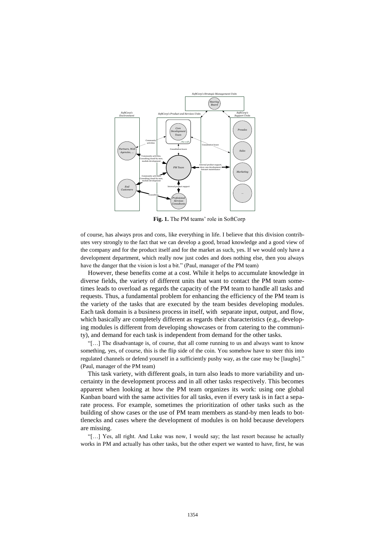

**Fig. 1.** The PM teams' role in SoftCorp

of course, has always pros and cons, like everything in life. I believe that this division contributes very strongly to the fact that we can develop a good, broad knowledge and a good view of the company and for the product itself and for the market as such, yes. If we would only have a development department, which really now just codes and does nothing else, then you always have the danger that the vision is lost a bit." (Paul, manager of the PM team)

However, these benefits come at a cost. While it helps to accumulate knowledge in diverse fields, the variety of different units that want to contact the PM team sometimes leads to overload as regards the capacity of the PM team to handle all tasks and requests. Thus, a fundamental problem for enhancing the efficiency of the PM team is the variety of the tasks that are executed by the team besides developing modules. Each task domain is a business process in itself, with separate input, output, and flow, which basically are completely different as regards their characteristics (e.g., developing modules is different from developing showcases or from catering to the community), and demand for each task is independent from demand for the other tasks.

"[…] The disadvantage is, of course, that all come running to us and always want to know something, yes, of course, this is the flip side of the coin. You somehow have to steer this into regulated channels or defend yourself in a sufficiently pushy way, as the case may be [laughs]." (Paul, manager of the PM team)

This task variety, with different goals, in turn also leads to more variability and uncertainty in the development process and in all other tasks respectively. This becomes apparent when looking at how the PM team organizes its work: using one global Kanban board with the same activities for all tasks, even if every task is in fact a separate process. For example, sometimes the prioritization of other tasks such as the building of show cases or the use of PM team members as stand-by men leads to bottlenecks and cases where the development of modules is on hold because developers are missing.

"[…] Yes, all right. And Luke was now, I would say; the last resort because he actually works in PM and actually has other tasks, but the other expert we wanted to have, first, he was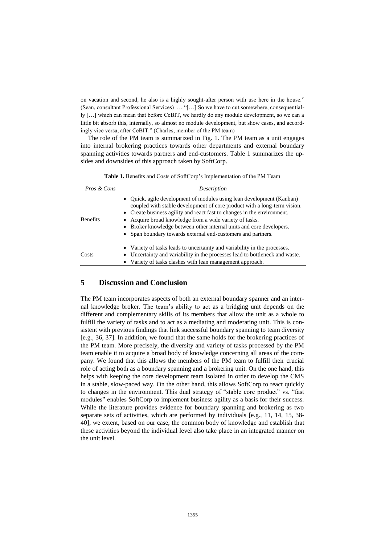on vacation and second, he also is a highly sought-after person with use here in the house." (Sean, consultant Professional Services) … "[…] So we have to cut somewhere, consequentially […] which can mean that before CeBIT, we hardly do any module development, so we can a little bit absorb this, internally, so almost no module development, but show cases, and accordingly vice versa, after CeBIT." (Charles, member of the PM team)

The role of the PM team is summarized in Fig. 1. The PM team as a unit engages into internal brokering practices towards other departments and external boundary spanning activities towards partners and end-customers. Table 1 summarizes the upsides and downsides of this approach taken by SoftCorp.

**Table 1.** Benefits and Costs of SoftCorp's Implementation of the PM Team

| Pros & Cons     | Description                                                                                                                                                                                                                                                                                                                                                                                                                   |
|-----------------|-------------------------------------------------------------------------------------------------------------------------------------------------------------------------------------------------------------------------------------------------------------------------------------------------------------------------------------------------------------------------------------------------------------------------------|
| <b>Benefits</b> | • Quick, agile development of modules using lean development (Kanban)<br>coupled with stable development of core product with a long-term vision.<br>• Create business agility and react fast to changes in the environment.<br>Acquire broad knowledge from a wide variety of tasks.<br>• Broker knowledge between other internal units and core developers.<br>• Span boundary towards external end-customers and partners. |
| Costs           | • Variety of tasks leads to uncertainty and variability in the processes.<br>Uncertainty and variability in the processes lead to bottleneck and waste.<br>• Variety of tasks clashes with lean management approach.                                                                                                                                                                                                          |

# **5 Discussion and Conclusion**

The PM team incorporates aspects of both an external boundary spanner and an internal knowledge broker. The team's ability to act as a bridging unit depends on the different and complementary skills of its members that allow the unit as a whole to fulfill the variety of tasks and to act as a mediating and moderating unit. This is consistent with previous findings that link successful boundary spanning to team diversity [e.g., 36, 37]. In addition, we found that the same holds for the brokering practices of the PM team. More precisely, the diversity and variety of tasks processed by the PM team enable it to acquire a broad body of knowledge concerning all areas of the company. We found that this allows the members of the PM team to fulfill their crucial role of acting both as a boundary spanning and a brokering unit. On the one hand, this helps with keeping the core development team isolated in order to develop the CMS in a stable, slow-paced way. On the other hand, this allows SoftCorp to react quickly to changes in the environment. This dual strategy of "stable core product" vs. "fast modules" enables SoftCorp to implement business agility as a basis for their success. While the literature provides evidence for boundary spanning and brokering as two separate sets of activities, which are performed by individuals [e.g., 11, 14, 15, 38- 40], we extent, based on our case, the common body of knowledge and establish that these activities beyond the individual level also take place in an integrated manner on the unit level.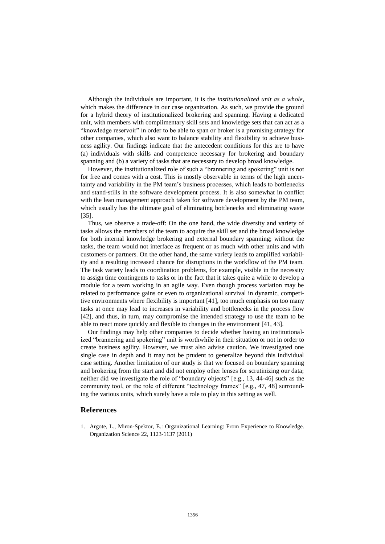Although the individuals are important, it is the *institutionalized unit as a whole,* which makes the difference in our case organization. As such, we provide the ground for a hybrid theory of institutionalized brokering and spanning. Having a dedicated unit, with members with complimentary skill sets and knowledge sets that can act as a "knowledge reservoir" in order to be able to span or broker is a promising strategy for other companies, which also want to balance stability and flexibility to achieve business agility. Our findings indicate that the antecedent conditions for this are to have (a) individuals with skills and competence necessary for brokering and boundary spanning and (b) a variety of tasks that are necessary to develop broad knowledge.

However, the institutionalized role of such a "brannering and spokering" unit is not for free and comes with a cost. This is mostly observable in terms of the high uncertainty and variability in the PM team's business processes, which leads to bottlenecks and stand-stills in the software development process. It is also somewhat in conflict with the lean management approach taken for software development by the PM team, which usually has the ultimate goal of eliminating bottlenecks and eliminating waste [35].

Thus, we observe a trade-off: On the one hand, the wide diversity and variety of tasks allows the members of the team to acquire the skill set and the broad knowledge for both internal knowledge brokering and external boundary spanning; without the tasks, the team would not interface as frequent or as much with other units and with customers or partners. On the other hand, the same variety leads to amplified variability and a resulting increased chance for disruptions in the workflow of the PM team. The task variety leads to coordination problems, for example, visible in the necessity to assign time contingents to tasks or in the fact that it takes quite a while to develop a module for a team working in an agile way. Even though process variation may be related to performance gains or even to organizational survival in dynamic, competitive environments where flexibility is important [41], too much emphasis on too many tasks at once may lead to increases in variability and bottlenecks in the process flow [42], and thus, in turn, may compromise the intended strategy to use the team to be able to react more quickly and flexible to changes in the environment [41, 43].

Our findings may help other companies to decide whether having an institutionalized "brannering and spokering" unit is worthwhile in their situation or not in order to create business agility. However, we must also advise caution. We investigated one single case in depth and it may not be prudent to generalize beyond this individual case setting. Another limitation of our study is that we focused on boundary spanning and brokering from the start and did not employ other lenses for scrutinizing our data; neither did we investigate the role of "boundary objects" [e.g., 13, 44-46] such as the community tool, or the role of different "technology frames" [e.g., 47, 48] surrounding the various units, which surely have a role to play in this setting as well.

## **References**

1. Argote, L., Miron-Spektor, E.: Organizational Learning: From Experience to Knowledge. Organization Science 22, 1123-1137 (2011)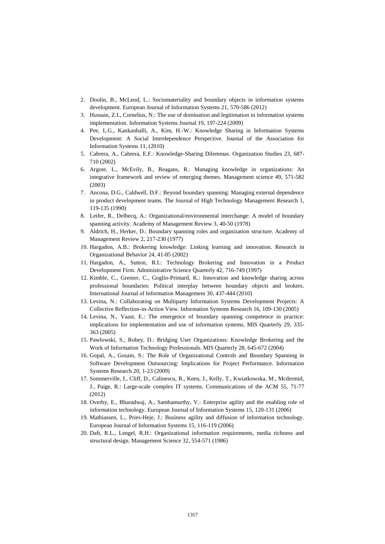- 2. Doolin, B., McLeod, L.: Sociomateriality and boundary objects in information systems development. European Journal of Information Systems 21, 570-586 (2012)
- 3. Hussain, Z.I., Cornelius, N.: The use of domination and legitimation in information systems implementation. Information Systems Journal 19, 197-224 (2009)
- 4. Pee, L.G., Kankanhalli, A., Kim, H.-W.: Knowledge Sharing in Information Systems Development: A Social Interdependence Perspective. Journal of the Association for Information Systems 11, (2010)
- 5. Cabrera, A., Cabrera, E.F.: Knowledge-Sharing Dilemmas. Organization Studies 23, 687- 710 (2002)
- 6. Argote, L., McEvily, B., Reagans, R.: Managing knowledge in organizations: An integrative framework and review of emerging themes. Management science 49, 571-582 (2003)
- 7. Ancona, D.G., Caldwell, D.F.: Beyond boundary spanning: Managing external dependence in product development teams. The Journal of High Technology Management Research 1, 119-135 (1990)
- 8. Leifer, R., Delbecq, A.: Organizational/environmental interchange: A model of boundary spanning activity. Academy of Management Review 3, 40-50 (1978)
- 9. Aldrich, H., Herker, D.: Boundary spanning roles and organization structure. Academy of Management Review 2, 217-230 (1977)
- 10. Hargadon, A.B.: Brokering knowledge: Linking learning and innovation. Research in Organizational Behavior 24, 41-85 (2002)
- 11. Hargadon, A., Sutton, R.I.: Technology Brokering and Innovation in a Product Development Firm. Administrative Science Quarterly 42, 716-749 (1997)
- 12. Kimble, C., Grenier, C., Goglio-Primard, K.: Innovation and knowledge sharing across professional boundaries: Political interplay between boundary objects and brokers. International Journal of Information Management 30, 437-444 (2010)
- 13. Levina, N.: Collaborating on Multiparty Information Systems Development Projects: A Collective Reflection-in-Action View. Information Systems Research 16, 109-130 (2005)
- 14. Levina, N., Vaast, E.: The emergence of boundary spanning competence in practice: implications for implementation and use of information systems. MIS Quarterly 29, 335- 363 (2005)
- 15. Pawlowski, S., Robey, D.: Bridging User Organizations: Knowledge Brokering and the Work of Information Technology Professionals. MIS Quarterly 28, 645-672 (2004)
- 16. Gopal, A., Gosain, S.: The Role of Organizational Controls and Boundary Spanning in Software Development Outsourcing: Implications for Project Performance. Information Systems Research 20, 1-23 (2009)
- 17. Sommerville, I., Cliff, D., Calinescu, R., Keen, J., Kelly, T., Kwiatkowska, M., Mcdermid, J., Paige, R.: Large-scale complex IT systems. Communications of the ACM 55, 71-77 (2012)
- 18. Overby, E., Bharadwaj, A., Sambamurthy, V.: Enterprise agility and the enabling role of information technology. European Journal of Information Systems 15, 120-131 (2006)
- 19. Mathiassen, L., Pries-Heje, J.: Business agility and diffusion of information technology. European Journal of Information Systems 15, 116-119 (2006)
- 20. Daft, R.L., Lengel, R.H.: Organizational information requirements, media richness and structural design. Management Science 32, 554-571 (1986)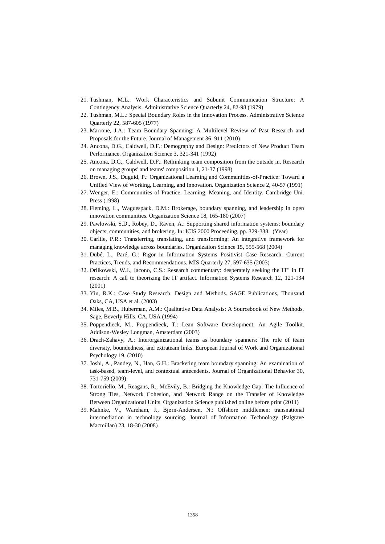- 21. Tushman, M.L.: Work Characteristics and Subunit Communication Structure: A Contingency Analysis. Administrative Science Quarterly 24, 82-98 (1979)
- 22. Tushman, M.L.: Special Boundary Roles in the Innovation Process. Administrative Science Quarterly 22, 587-605 (1977)
- 23. Marrone, J.A.: Team Boundary Spanning: A Multilevel Review of Past Research and Proposals for the Future. Journal of Management 36, 911 (2010)
- 24. Ancona, D.G., Caldwell, D.F.: Demography and Design: Predictors of New Product Team Performance. Organization Science 3, 321-341 (1992)
- 25. Ancona, D.G., Caldwell, D.F.: Rethinking team composition from the outside in. Research on managing groups' and teams' composition 1, 21-37 (1998)
- 26. Brown, J.S., Duguid, P.: Organizational Learning and Communities-of-Practice: Toward a Unified View of Working, Learning, and Innovation. Organization Science 2, 40-57 (1991)
- 27. Wenger, E.: Communities of Practice: Learning, Meaning, and Identity. Cambridge Uni. Press (1998)
- 28. Fleming, L., Waguespack, D.M.: Brokerage, boundary spanning, and leadership in open innovation communities. Organization Science 18, 165-180 (2007)
- 29. Pawlowski, S.D., Robey, D., Raven, A.: Supporting shared information systems: boundary objects, communities, and brokering. In: ICIS 2000 Proceeding, pp. 329-338. (Year)
- 30. Carlile, P.R.: Transferring, translating, and transforming: An integrative framework for managing knowledge across boundaries. Organization Science 15, 555-568 (2004)
- 31. Dubé, L., Paré, G.: Rigor in Information Systems Positivist Case Research: Current Practices, Trends, and Recommendations. MIS Quarterly 27, 597-635 (2003)
- 32. Orlikowski, W.J., Iacono, C.S.: Research commentary: desperately seeking the"IT" in IT research: A call to theorizing the IT artifact. Information Systems Research 12, 121-134 (2001)
- 33. Yin, R.K.: Case Study Research: Design and Methods. SAGE Publications, Thousand Oaks, CA, USA et al. (2003)
- 34. Miles, M.B., Huberman, A.M.: Qualitative Data Analysis: A Sourcebook of New Methods. Sage, Beverly Hills, CA, USA (1994)
- 35. Poppendieck, M., Poppendieck, T.: Lean Software Development: An Agile Toolkit. Addison-Wesley Longman, Amsterdam (2003)
- 36. Drach-Zahavy, A.: Interorganizational teams as boundary spanners: The role of team diversity, boundedness, and extrateam links. European Journal of Work and Organizational Psychology 19, (2010)
- 37. Joshi, A., Pandey, N., Han, G.H.: Bracketing team boundary spanning: An examination of task-based, team-level, and contextual antecedents. Journal of Organizational Behavior 30, 731-759 (2009)
- 38. Tortoriello, M., Reagans, R., McEvily, B.: Bridging the Knowledge Gap: The Influence of Strong Ties, Network Cohesion, and Network Range on the Transfer of Knowledge Between Organizational Units. Organization Science published online before print (2011)
- 39. Mahnke, V., Wareham, J., Bjørn-Andersen, N.: Offshore middlemen: transnational intermediation in technology sourcing. Journal of Information Technology (Palgrave Macmillan) 23, 18-30 (2008)